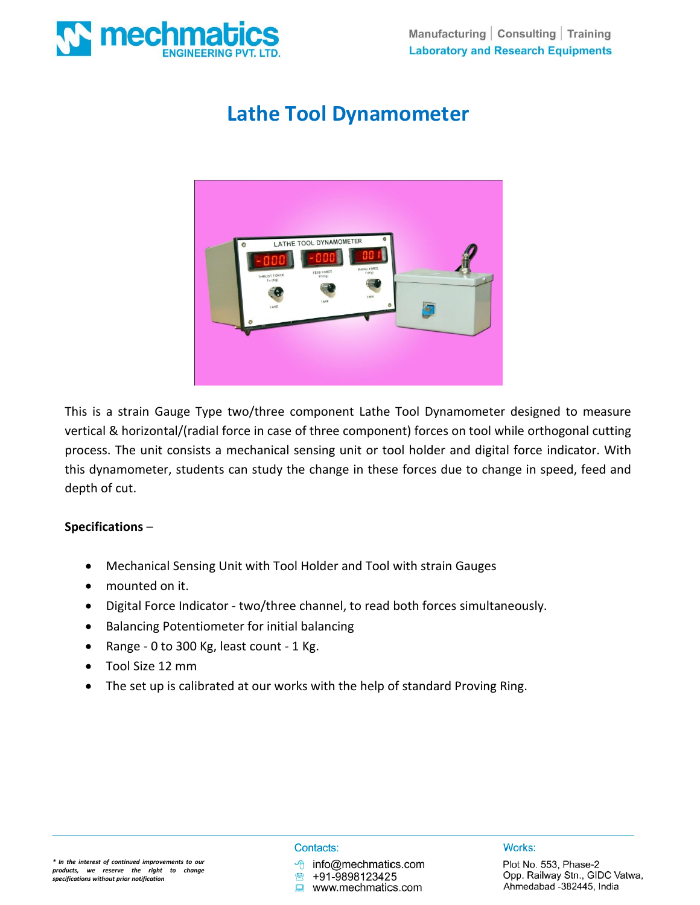

# **Lathe Tool Dynamometer**



This is a strain Gauge Type two/three component Lathe Tool Dynamometer designed to measure vertical & horizontal/(radial force in case of three component) forces on tool while orthogonal cutting process. The unit consists a mechanical sensing unit or tool holder and digital force indicator. With this dynamometer, students can study the change in these forces due to change in speed, feed and depth of cut.

## **Specifications** –

- Mechanical Sensing Unit with Tool Holder and Tool with strain Gauges
- mounted on it.
- Digital Force Indicator two/three channel, to read both forces simultaneously.
- Balancing Potentiometer for initial balancing
- Range 0 to 300 Kg, least count 1 Kg.
- Tool Size 12 mm
- The set up is calibrated at our works with the help of standard Proving Ring.

#### Contacts:

info@mechmatics.com

+91-9898123425 www.mechmatics.com

#### Works: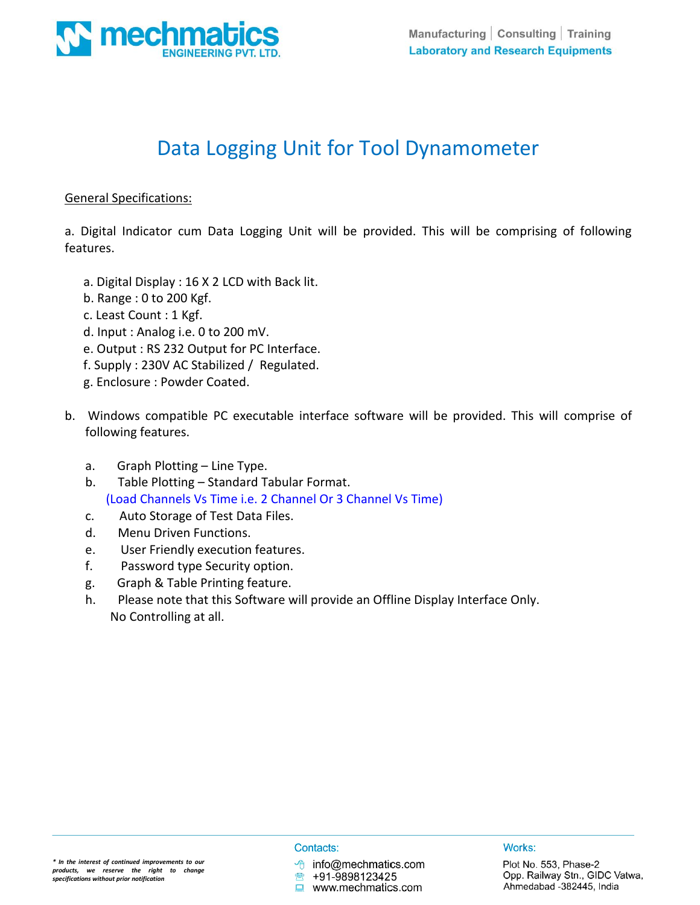

# Data Logging Unit for Tool Dynamometer

## General Specifications:

a. Digital Indicator cum Data Logging Unit will be provided. This will be comprising of following features.

- a. Digital Display : 16 X 2 LCD with Back lit.
- b. Range : 0 to 200 Kgf.
- c. Least Count : 1 Kgf.
- d. Input : Analog i.e. 0 to 200 mV.
- e. Output : RS 232 Output for PC Interface.
- f. Supply : 230V AC Stabilized / Regulated.
- g. Enclosure : Powder Coated.
- b. Windows compatible PC executable interface software will be provided. This will comprise of following features.
	- a. Graph Plotting Line Type.
	- b. Table Plotting Standard Tabular Format. (Load Channels Vs Time i.e. 2 Channel Or 3 Channel Vs Time)
	- c. Auto Storage of Test Data Files.
	- d. Menu Driven Functions.
	- e. User Friendly execution features.
	- f. Password type Security option.
	- g. Graph & Table Printing feature.
	- h. Please note that this Software will provide an Offline Display Interface Only. No Controlling at all.

#### Contacts:

需

 $\sqrt{\theta}$  info@mechmatics.com

+91-9898123425

www.mechmatics.com

Works: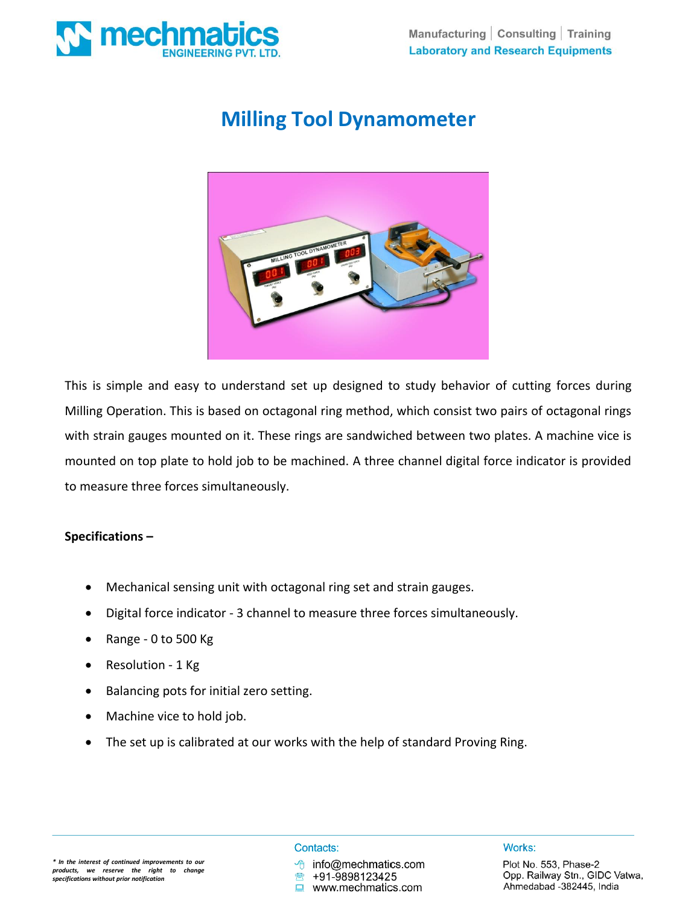

# **Milling Tool Dynamometer**



This is simple and easy to understand set up designed to study behavior of cutting forces during Milling Operation. This is based on octagonal ring method, which consist two pairs of octagonal rings with strain gauges mounted on it. These rings are sandwiched between two plates. A machine vice is mounted on top plate to hold job to be machined. A three channel digital force indicator is provided to measure three forces simultaneously.

## **Specifications –**

- Mechanical sensing unit with octagonal ring set and strain gauges.
- Digital force indicator 3 channel to measure three forces simultaneously.
- Range 0 to 500 Kg
- Resolution 1 Kg
- Balancing pots for initial zero setting.
- Machine vice to hold job.
- The set up is calibrated at our works with the help of standard Proving Ring.

### Contacts:

info@mechmatics.com

+91-9898123425 www.mechmatics.com Works: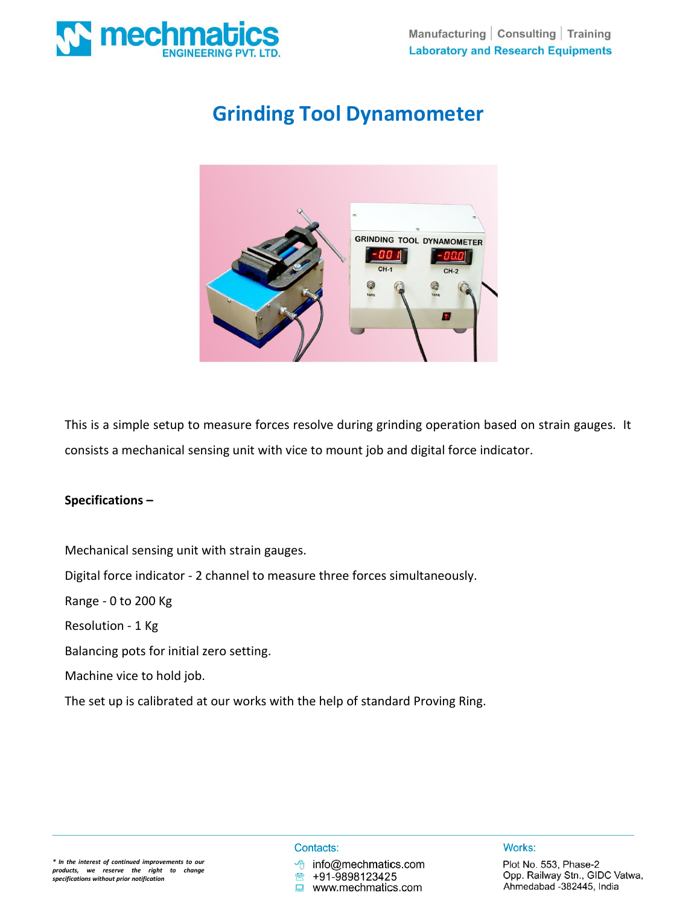

# **Grinding Tool Dynamometer**



This is a simple setup to measure forces resolve during grinding operation based on strain gauges. It consists a mechanical sensing unit with vice to mount job and digital force indicator.

## **Specifications –**

Mechanical sensing unit with strain gauges. Digital force indicator - 2 channel to measure three forces simultaneously. Range - 0 to 200 Kg Resolution - 1 Kg Balancing pots for initial zero setting. Machine vice to hold job.

The set up is calibrated at our works with the help of standard Proving Ring.

#### Contacts:

 $\Box$ 

+91-9898123425 www.mechmatics.com

info@mechmatics.com

Works: